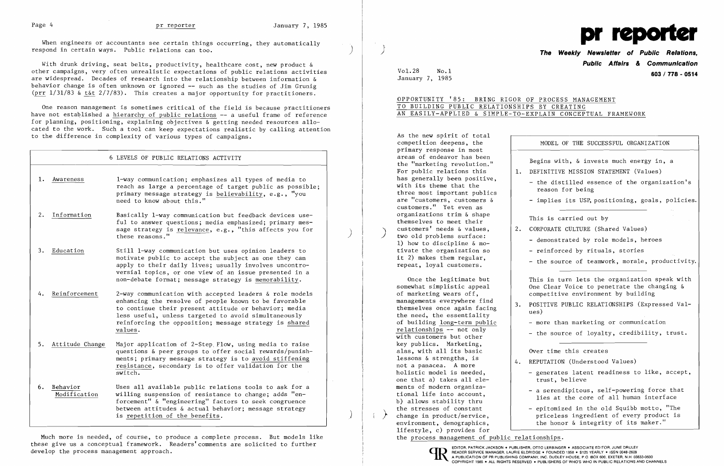When engineers or accountants see certain things occurring, they automatically respond in certain ways. Public relations can too.

With drunk driving, seat belts, productivity, healthcare cost, new product & other campaigns, very often unrealistic expectations of public relations activities are widespread. Decades of research into the relationship between information & behavior change is often unknown or ignored **--** such as the studies of Jim Grunig (prr  $1/31/83$  & t&t  $2/7/83$ ). This creates a major opportunity for practitioners.

One reason management is sometimes critical of the field is because practitioners have not established a hierarchy of public relations -- a useful frame of reference for planning, positioning, explaining objectives  $\&$  getting needed resources allocated to the work. Such a tool can keep expectations realistic by calling attention to the difference in complexity of various types of campaigns.

# 6 LEVELS OF PUBLIC RELATIONS ACTIVITY

- 1. Awareness 1-way communication; emphasizes all types of media to reach as large a percentage of target public as possible; primary message strategy is believability, e.g., "you need to know about this."
- 2. Information Basically 1-way communication but feedback devices useful to answer questions; media emphasized; primary mes sage strategy is  $\frac{\text{relevance}}{\text{relevance}}, \text{ e.g., }$  "this affects you for  $\overrightarrow{ }$
- 3. Education Still I-way communication but uses opinion leaders to motivate public to accept the subject as one they can apply to their daily lives; usually involves uncontroversial topics, or one view of an issue presented in a non-debate format; message strategy is memorability.
- 4. <u>Reinforcement</u> 2-way communication with accepted leaders & role models enhancing the resolve of people known to be favorable to continue their present attitude or behavior; media less useful, unless targeted to avoid simultaneously reinforcing the opposition; message strategy is shared values.
- 5. Attitude Change Major application of 2-Step Flow, using media to raise questions & peer groups to offer social rewards/punish ments; primary message strategy is to avoid stiffening resistance, secondary is to offer validation for the Ī switch.
- 6. <u>Behavior</u> Uses all available public relations tools to ask for a<br>Modification **willing** suspension of resistance to change; adds "enwilling suspension of resistance to change; adds "enforcement" & "engineering" factors to seek congruence between attitudes & actual behavior; message strategy is repetition of the benefits.

As the new spirit of total primary response in most has generally been positive,<br>with its theme that the three most important publics<br>are "customers, customers  $\delta$ customers." Yet even as organizations trim & shape<br>themselves to meet their<br>customers' needs & values.<br>2. CORPORATE CULTURE (Shape customers' needs & values,<br>
two old problems surface:<br>
1) how to discipline & mo-<br>
tivate the organization so<br>
- reinforced by rituals, stories it 2) makes them regular,<br>repeat, loyal customers.

Once the legitimate but This in turn lets the organization speak with<br>Somewhat simplistic appeal One Clear Voice to penetrate the changing & One Clear Voice to penetrate the changing  $\&$ of marketing wears off, competitive environment by building

- more than marketing or communication

holistic model is needed,  $\vert$  - generates latent readiness to like, accept, trust, believe

ments of modern organiza-<br>tional life into account, <br>lies at the core of all human interface

the stresses of constant  $\begin{vmatrix} - & 1 \\ - & 1 \end{vmatrix}$  - epitomized in the old Squibb motto, "The priceless ingredient of every product is environment, demographics,  $\qquad$  the honor & integrity of its maker."

Much more is needed, of course, to produce a complete process. But models like these give us a conceptual framework. Readers'comments are solicited to further develop the process management approach.



) **The Weekly Newsletter of Public Relations, Public Affairs** *&* **Communication**  VoL28 No.1 **603 / 778 - <sup>0514</sup>**

competition deepens, the  $MODEL$  of the SUCCESSFUL ORGANIZATION

areas of endeavor has been <br>the "marketing revolution." Begins with, & invests much energy in, a<br>For public relations this  $\begin{bmatrix} 1. \quad$  DEFINITIVE MISSION STATEMENT (Values) 1. DEFINITIVE MISSION STATEMENT (Values)

- the distilled essence of the organization's reason for being

- implies its USP, positioning, goals, policies.

- reinforced by rituals, stories

- the source of teamwork, morale, productivity.

January 7, 1985

## OPPORTUNITY '85: BRING RIGOR OF PROCESS MANAGEMENT TO BUILDING PUBLIC RELATIONSHIPS BY CREATING AN EASILY-APPLIED & SIMPLE-TO-EXPLAIN CONCEPTUAL FRAMEWORK

managements everywhere find managements everywhere ind<br>themselves once again facing 13. POSITIVE PUBLIC RELATIONSHIPS (Expressed Val-<br>the need, the essentiality ues) - more than marketing or communication relationships -- not only  $\overline{with}$  customers but other  $\overline{with}$  customers but other  $\overline{with}$  customers but other  $\overline{with}$  customers but other  $\overline{with}$  customers but other  $\overline{with}$  customers but other  $\overline{with}$  customers but key publics. Marketing, alas, with all its basic and Over time this creates lessons & strengths, is not a panacea. A more 4. REPUTATION (Understood Values) one that a) takes all elements of modern organiza b) allows stability thru the stresses of constant<br>change in product/service, lifestyle, c) provides for the process management of public relationships.